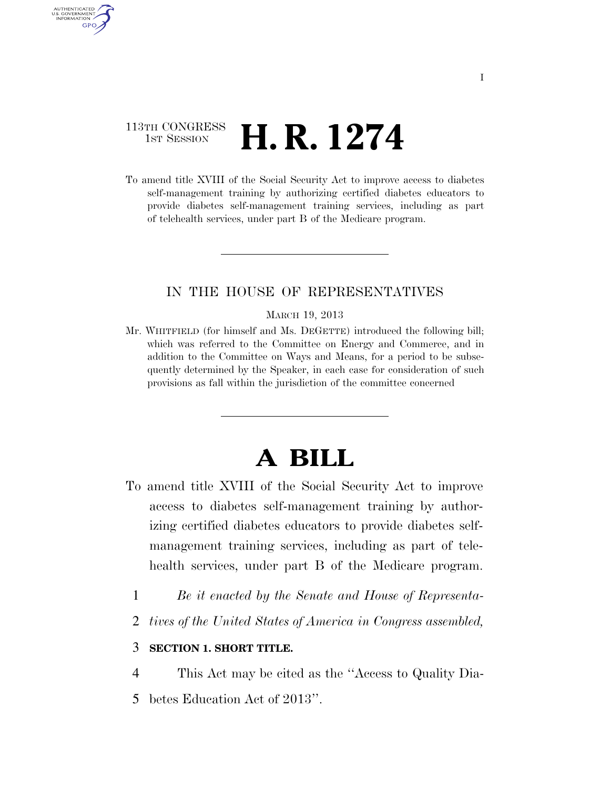## 113TH CONGRESS  $\frac{1}{15T}$  Session **H. R. 1274**

AUTHENTICATED U.S. GOVERNMENT **GPO** 

> To amend title XVIII of the Social Security Act to improve access to diabetes self-management training by authorizing certified diabetes educators to provide diabetes self-management training services, including as part of telehealth services, under part B of the Medicare program.

### IN THE HOUSE OF REPRESENTATIVES

#### MARCH 19, 2013

Mr. WHITFIELD (for himself and Ms. DEGETTE) introduced the following bill; which was referred to the Committee on Energy and Commerce, and in addition to the Committee on Ways and Means, for a period to be subsequently determined by the Speaker, in each case for consideration of such provisions as fall within the jurisdiction of the committee concerned

# **A BILL**

- To amend title XVIII of the Social Security Act to improve access to diabetes self-management training by authorizing certified diabetes educators to provide diabetes selfmanagement training services, including as part of telehealth services, under part B of the Medicare program.
	- 1 *Be it enacted by the Senate and House of Representa-*
	- 2 *tives of the United States of America in Congress assembled,*

### 3 **SECTION 1. SHORT TITLE.**

4 This Act may be cited as the ''Access to Quality Dia-5 betes Education Act of 2013''.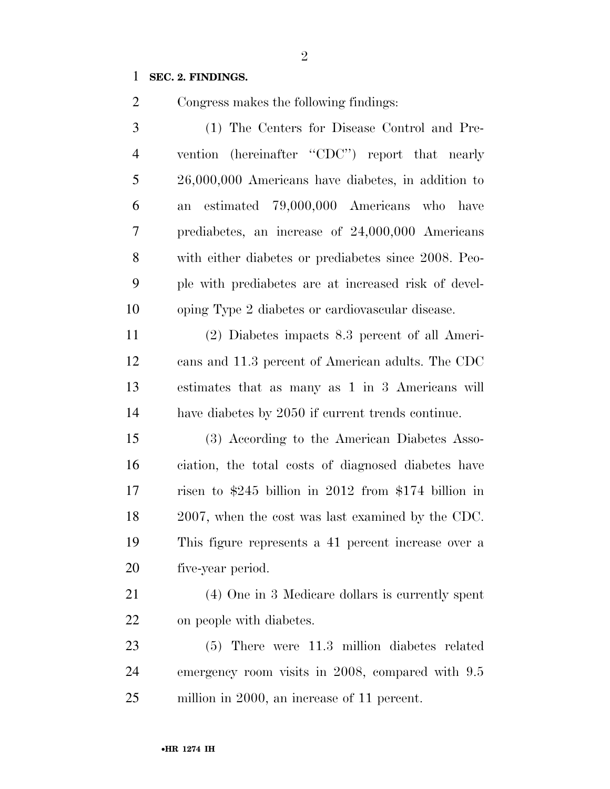### **SEC. 2. FINDINGS.**

Congress makes the following findings:

 (1) The Centers for Disease Control and Pre-4 vention (hereinafter "CDC") report that nearly 26,000,000 Americans have diabetes, in addition to an estimated 79,000,000 Americans who have prediabetes, an increase of 24,000,000 Americans with either diabetes or prediabetes since 2008. Peo- ple with prediabetes are at increased risk of devel-oping Type 2 diabetes or cardiovascular disease.

 (2) Diabetes impacts 8.3 percent of all Ameri- cans and 11.3 percent of American adults. The CDC estimates that as many as 1 in 3 Americans will have diabetes by 2050 if current trends continue.

 (3) According to the American Diabetes Asso- ciation, the total costs of diagnosed diabetes have risen to \$245 billion in 2012 from \$174 billion in 2007, when the cost was last examined by the CDC. This figure represents a 41 percent increase over a five-year period.

 (4) One in 3 Medicare dollars is currently spent on people with diabetes.

 (5) There were 11.3 million diabetes related emergency room visits in 2008, compared with 9.5 million in 2000, an increase of 11 percent.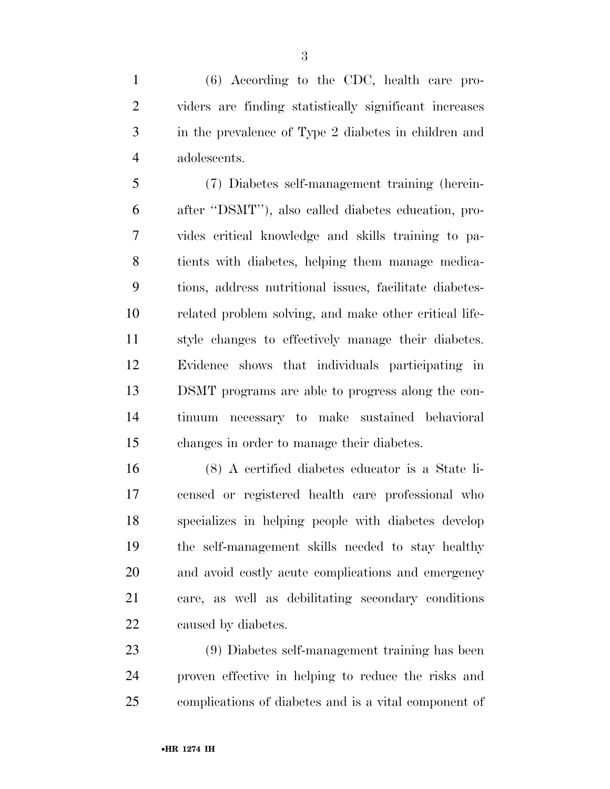(6) According to the CDC, health care pro- viders are finding statistically significant increases in the prevalence of Type 2 diabetes in children and adolescents.

 (7) Diabetes self-management training (herein- after ''DSMT''), also called diabetes education, pro- vides critical knowledge and skills training to pa- tients with diabetes, helping them manage medica- tions, address nutritional issues, facilitate diabetes- related problem solving, and make other critical life- style changes to effectively manage their diabetes. Evidence shows that individuals participating in DSMT programs are able to progress along the con- tinuum necessary to make sustained behavioral changes in order to manage their diabetes.

 (8) A certified diabetes educator is a State li- censed or registered health care professional who specializes in helping people with diabetes develop the self-management skills needed to stay healthy and avoid costly acute complications and emergency care, as well as debilitating secondary conditions caused by diabetes.

 (9) Diabetes self-management training has been proven effective in helping to reduce the risks and complications of diabetes and is a vital component of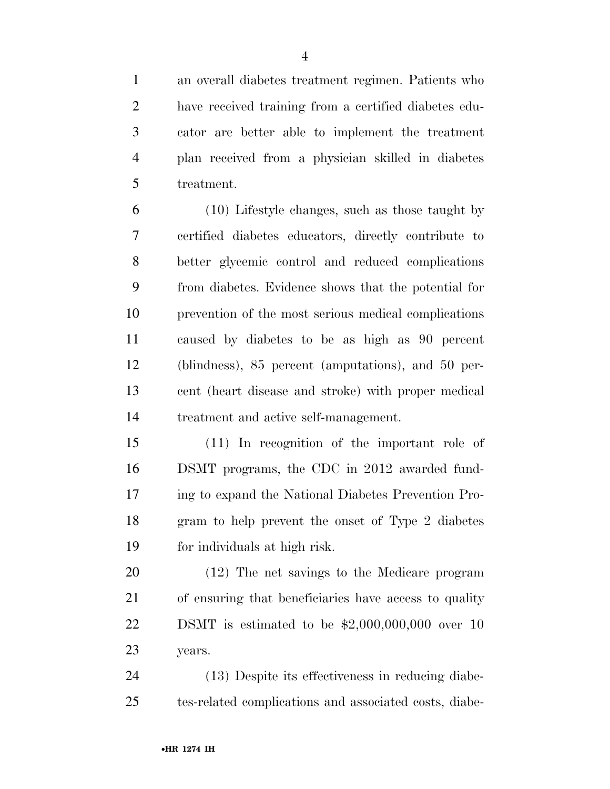an overall diabetes treatment regimen. Patients who have received training from a certified diabetes edu- cator are better able to implement the treatment plan received from a physician skilled in diabetes treatment.

 (10) Lifestyle changes, such as those taught by certified diabetes educators, directly contribute to better glycemic control and reduced complications from diabetes. Evidence shows that the potential for prevention of the most serious medical complications caused by diabetes to be as high as 90 percent (blindness), 85 percent (amputations), and 50 per- cent (heart disease and stroke) with proper medical treatment and active self-management.

 (11) In recognition of the important role of DSMT programs, the CDC in 2012 awarded fund- ing to expand the National Diabetes Prevention Pro- gram to help prevent the onset of Type 2 diabetes for individuals at high risk.

 (12) The net savings to the Medicare program of ensuring that beneficiaries have access to quality DSMT is estimated to be \$2,000,000,000 over 10 years.

 (13) Despite its effectiveness in reducing diabe-tes-related complications and associated costs, diabe-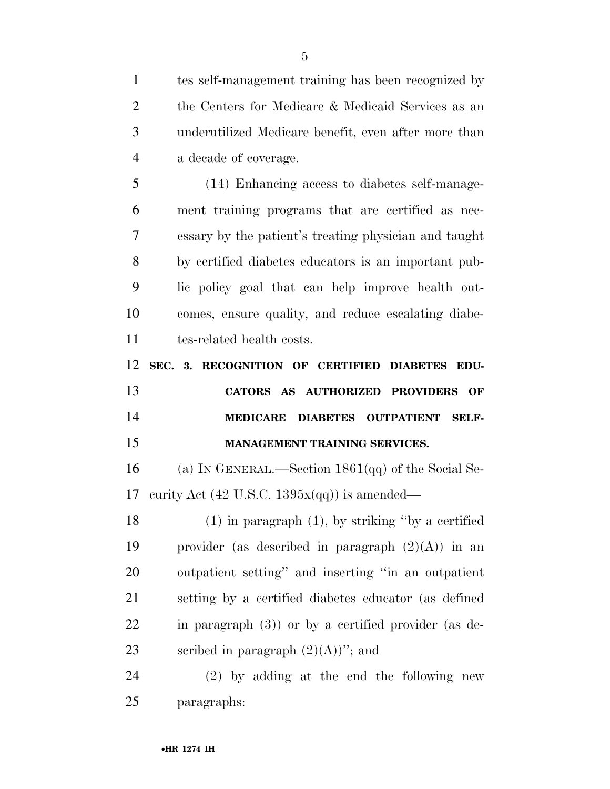tes self-management training has been recognized by the Centers for Medicare & Medicaid Services as an underutilized Medicare benefit, even after more than a decade of coverage. (14) Enhancing access to diabetes self-manage- ment training programs that are certified as nec- essary by the patient's treating physician and taught by certified diabetes educators is an important pub- lic policy goal that can help improve health out-comes, ensure quality, and reduce escalating diabe-

tes-related health costs.

 **SEC. 3. RECOGNITION OF CERTIFIED DIABETES EDU- CATORS AS AUTHORIZED PROVIDERS OF MEDICARE DIABETES OUTPATIENT SELF-**

**MANAGEMENT TRAINING SERVICES.** 

 (a) IN GENERAL.—Section 1861(qq) of the Social Se-17 curity Act (42 U.S.C.  $1395x(qq)$ ) is amended—

 (1) in paragraph (1), by striking ''by a certified 19 provider (as described in paragraph  $(2)(A)$ ) in an outpatient setting'' and inserting ''in an outpatient setting by a certified diabetes educator (as defined in paragraph (3)) or by a certified provider (as de-23 seribed in paragraph  $(2)(A)$ "; and

 (2) by adding at the end the following new paragraphs: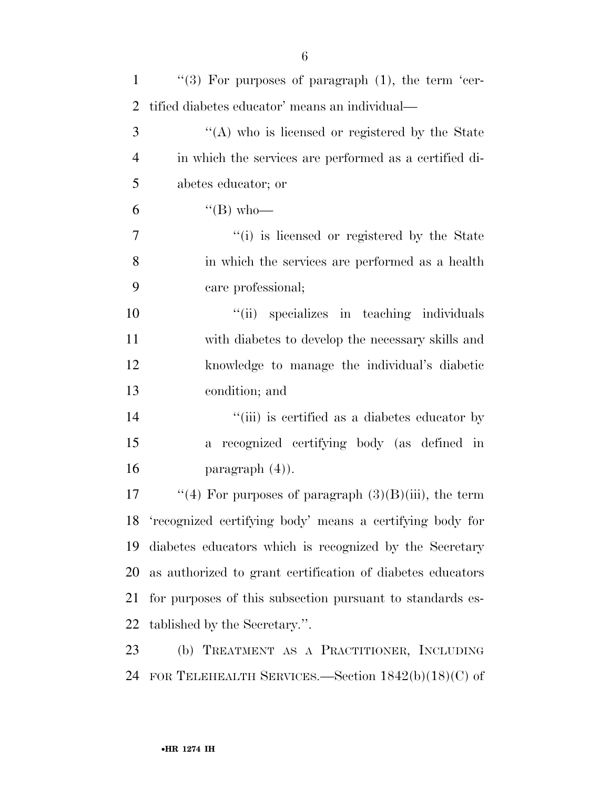| $\mathbf{1}$   | "(3) For purposes of paragraph $(1)$ , the term 'cer-       |
|----------------|-------------------------------------------------------------|
| 2              | tified diabetes educator' means an individual—              |
| 3              | "(A) who is licensed or registered by the State             |
| $\overline{4}$ | in which the services are performed as a certified di-      |
| 5              | abetes educator; or                                         |
| 6              | $\lq\lq (B)$ who—                                           |
| $\tau$         | "(i) is licensed or registered by the State                 |
| 8              | in which the services are performed as a health             |
| 9              | care professional;                                          |
| 10             | "(ii) specializes in teaching individuals                   |
| 11             | with diabetes to develop the necessary skills and           |
| 12             | knowledge to manage the individual's diabetic               |
| 13             | condition; and                                              |
| 14             | "(iii) is certified as a diabetes educator by               |
| 15             | a recognized certifying body (as defined in                 |
| 16             | paragraph $(4)$ ).                                          |
| 17             | "(4) For purposes of paragraph $(3)(B)(iii)$ , the term     |
|                | 18 'recognized certifying body' means a certifying body for |
| 19             | diabetes educators which is recognized by the Secretary     |
| 20             | as authorized to grant certification of diabetes educators  |
| 21             | for purposes of this subsection pursuant to standards es-   |
| 22             | tablished by the Secretary.".                               |
| 23             | (b) TREATMENT AS A PRACTITIONER, INCLUDING                  |
| 24             | FOR TELEHEALTH SERVICES.—Section $1842(b)(18)(C)$ of        |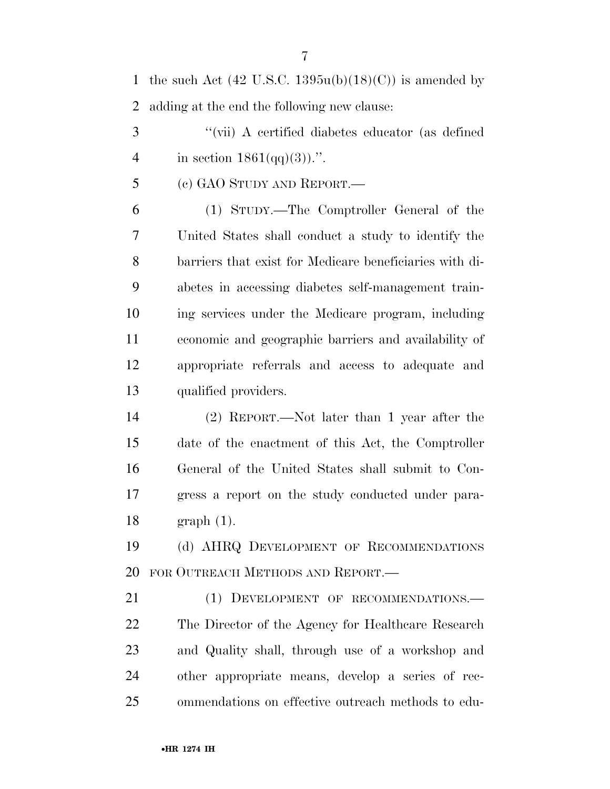1 the such Act  $(42 \text{ U.S.C. } 1395u(b)(18)(C))$  is amended by adding at the end the following new clause: ''(vii) A certified diabetes educator (as defined 4 in section  $1861(qq)(3)$ .". (c) GAO STUDY AND REPORT.— (1) STUDY.—The Comptroller General of the United States shall conduct a study to identify the barriers that exist for Medicare beneficiaries with di- abetes in accessing diabetes self-management train- ing services under the Medicare program, including economic and geographic barriers and availability of appropriate referrals and access to adequate and qualified providers. (2) REPORT.—Not later than 1 year after the date of the enactment of this Act, the Comptroller General of the United States shall submit to Con- gress a report on the study conducted under para-graph (1).

 (d) AHRQ DEVELOPMENT OF RECOMMENDATIONS FOR OUTREACH METHODS AND REPORT.—

21 (1) DEVELOPMENT OF RECOMMENDATIONS.— The Director of the Agency for Healthcare Research and Quality shall, through use of a workshop and other appropriate means, develop a series of rec-ommendations on effective outreach methods to edu